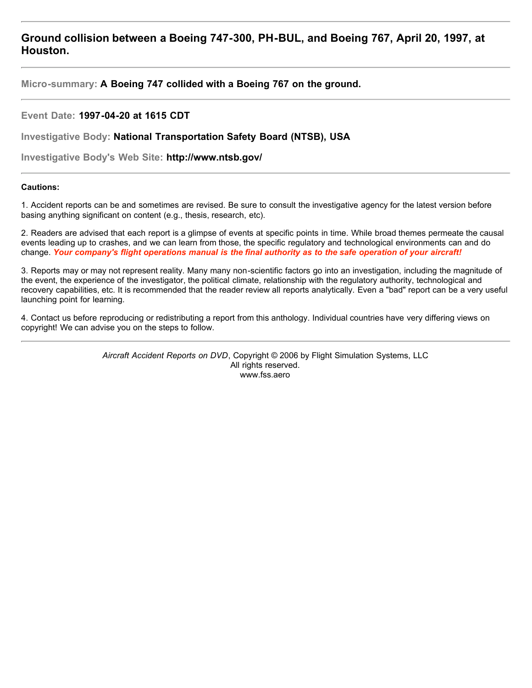## **Ground collision between a Boeing 747-300, PH-BUL, and Boeing 767, April 20, 1997, at Houston.**

**Micro-summary: A Boeing 747 collided with a Boeing 767 on the ground.**

## **Event Date: 1997-04-20 at 1615 CDT**

**Investigative Body: National Transportation Safety Board (NTSB), USA**

**Investigative Body's Web Site: http://www.ntsb.gov/**

## **Cautions:**

1. Accident reports can be and sometimes are revised. Be sure to consult the investigative agency for the latest version before basing anything significant on content (e.g., thesis, research, etc).

2. Readers are advised that each report is a glimpse of events at specific points in time. While broad themes permeate the causal events leading up to crashes, and we can learn from those, the specific regulatory and technological environments can and do change. *Your company's flight operations manual is the final authority as to the safe operation of your aircraft!*

3. Reports may or may not represent reality. Many many non-scientific factors go into an investigation, including the magnitude of the event, the experience of the investigator, the political climate, relationship with the regulatory authority, technological and recovery capabilities, etc. It is recommended that the reader review all reports analytically. Even a "bad" report can be a very useful launching point for learning.

4. Contact us before reproducing or redistributing a report from this anthology. Individual countries have very differing views on copyright! We can advise you on the steps to follow.

> *Aircraft Accident Reports on DVD*, Copyright © 2006 by Flight Simulation Systems, LLC All rights reserved. www.fss.aero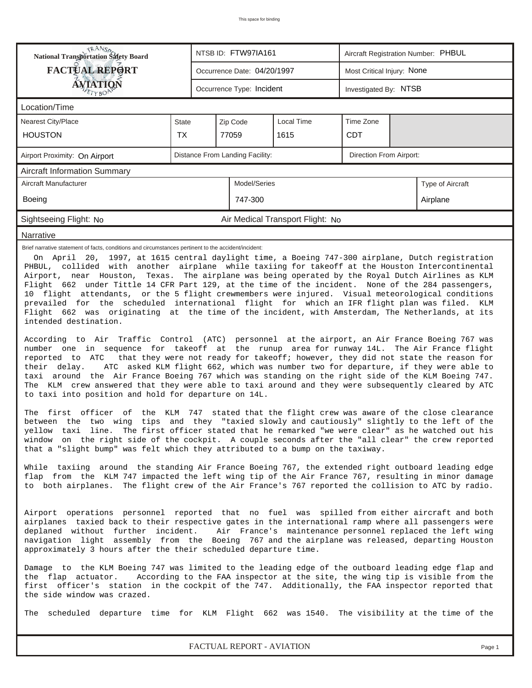|                                                                                                                                                                                                                                                                                                                                                                                                                                                                                                                                                                                                                                                                                                                                                                                                                                                                                                                                                                                                                                                                                                                                                                                                                                                                                                                                                                                                                                                                                                                                                                                                                                                                                                                                                                                                                                                                                                                                                                                                                                                                                                                                                                                                                                                                                                                                                                                                                                                                                                                                                                                                                                                                                                                                                                                                                                                                                                                                                                                                                                     | <b>National Transportation Safety Board</b><br>NTSB ID: FTW97IA161<br>Aircraft Registration Number: PHBUL |                             |  |  |  |  |  |  |  |
|-------------------------------------------------------------------------------------------------------------------------------------------------------------------------------------------------------------------------------------------------------------------------------------------------------------------------------------------------------------------------------------------------------------------------------------------------------------------------------------------------------------------------------------------------------------------------------------------------------------------------------------------------------------------------------------------------------------------------------------------------------------------------------------------------------------------------------------------------------------------------------------------------------------------------------------------------------------------------------------------------------------------------------------------------------------------------------------------------------------------------------------------------------------------------------------------------------------------------------------------------------------------------------------------------------------------------------------------------------------------------------------------------------------------------------------------------------------------------------------------------------------------------------------------------------------------------------------------------------------------------------------------------------------------------------------------------------------------------------------------------------------------------------------------------------------------------------------------------------------------------------------------------------------------------------------------------------------------------------------------------------------------------------------------------------------------------------------------------------------------------------------------------------------------------------------------------------------------------------------------------------------------------------------------------------------------------------------------------------------------------------------------------------------------------------------------------------------------------------------------------------------------------------------------------------------------------------------------------------------------------------------------------------------------------------------------------------------------------------------------------------------------------------------------------------------------------------------------------------------------------------------------------------------------------------------------------------------------------------------------------------------------------------------|-----------------------------------------------------------------------------------------------------------|-----------------------------|--|--|--|--|--|--|--|
| <b>FACTUAL REPORT</b>                                                                                                                                                                                                                                                                                                                                                                                                                                                                                                                                                                                                                                                                                                                                                                                                                                                                                                                                                                                                                                                                                                                                                                                                                                                                                                                                                                                                                                                                                                                                                                                                                                                                                                                                                                                                                                                                                                                                                                                                                                                                                                                                                                                                                                                                                                                                                                                                                                                                                                                                                                                                                                                                                                                                                                                                                                                                                                                                                                                                               | Most Critical Injury: None<br>Occurrence Date: 04/20/1997                                                 |                             |  |  |  |  |  |  |  |
| AVIATION                                                                                                                                                                                                                                                                                                                                                                                                                                                                                                                                                                                                                                                                                                                                                                                                                                                                                                                                                                                                                                                                                                                                                                                                                                                                                                                                                                                                                                                                                                                                                                                                                                                                                                                                                                                                                                                                                                                                                                                                                                                                                                                                                                                                                                                                                                                                                                                                                                                                                                                                                                                                                                                                                                                                                                                                                                                                                                                                                                                                                            | Occurrence Type: Incident<br>Investigated By: NTSB                                                        |                             |  |  |  |  |  |  |  |
| Location/Time                                                                                                                                                                                                                                                                                                                                                                                                                                                                                                                                                                                                                                                                                                                                                                                                                                                                                                                                                                                                                                                                                                                                                                                                                                                                                                                                                                                                                                                                                                                                                                                                                                                                                                                                                                                                                                                                                                                                                                                                                                                                                                                                                                                                                                                                                                                                                                                                                                                                                                                                                                                                                                                                                                                                                                                                                                                                                                                                                                                                                       |                                                                                                           |                             |  |  |  |  |  |  |  |
| <b>Nearest City/Place</b>                                                                                                                                                                                                                                                                                                                                                                                                                                                                                                                                                                                                                                                                                                                                                                                                                                                                                                                                                                                                                                                                                                                                                                                                                                                                                                                                                                                                                                                                                                                                                                                                                                                                                                                                                                                                                                                                                                                                                                                                                                                                                                                                                                                                                                                                                                                                                                                                                                                                                                                                                                                                                                                                                                                                                                                                                                                                                                                                                                                                           | Local Time<br>Time Zone<br>Zip Code<br><b>State</b>                                                       |                             |  |  |  |  |  |  |  |
| <b>HOUSTON</b>                                                                                                                                                                                                                                                                                                                                                                                                                                                                                                                                                                                                                                                                                                                                                                                                                                                                                                                                                                                                                                                                                                                                                                                                                                                                                                                                                                                                                                                                                                                                                                                                                                                                                                                                                                                                                                                                                                                                                                                                                                                                                                                                                                                                                                                                                                                                                                                                                                                                                                                                                                                                                                                                                                                                                                                                                                                                                                                                                                                                                      | <b>TX</b>                                                                                                 | 77059<br>1615<br><b>CDT</b> |  |  |  |  |  |  |  |
| Distance From Landing Facility:<br>Direction From Airport:<br>Airport Proximity: On Airport                                                                                                                                                                                                                                                                                                                                                                                                                                                                                                                                                                                                                                                                                                                                                                                                                                                                                                                                                                                                                                                                                                                                                                                                                                                                                                                                                                                                                                                                                                                                                                                                                                                                                                                                                                                                                                                                                                                                                                                                                                                                                                                                                                                                                                                                                                                                                                                                                                                                                                                                                                                                                                                                                                                                                                                                                                                                                                                                         |                                                                                                           |                             |  |  |  |  |  |  |  |
| Aircraft Information Summary                                                                                                                                                                                                                                                                                                                                                                                                                                                                                                                                                                                                                                                                                                                                                                                                                                                                                                                                                                                                                                                                                                                                                                                                                                                                                                                                                                                                                                                                                                                                                                                                                                                                                                                                                                                                                                                                                                                                                                                                                                                                                                                                                                                                                                                                                                                                                                                                                                                                                                                                                                                                                                                                                                                                                                                                                                                                                                                                                                                                        |                                                                                                           |                             |  |  |  |  |  |  |  |
| Aircraft Manufacturer<br>Model/Series<br>Type of Aircraft                                                                                                                                                                                                                                                                                                                                                                                                                                                                                                                                                                                                                                                                                                                                                                                                                                                                                                                                                                                                                                                                                                                                                                                                                                                                                                                                                                                                                                                                                                                                                                                                                                                                                                                                                                                                                                                                                                                                                                                                                                                                                                                                                                                                                                                                                                                                                                                                                                                                                                                                                                                                                                                                                                                                                                                                                                                                                                                                                                           |                                                                                                           |                             |  |  |  |  |  |  |  |
| Boeing<br>747-300<br>Airplane                                                                                                                                                                                                                                                                                                                                                                                                                                                                                                                                                                                                                                                                                                                                                                                                                                                                                                                                                                                                                                                                                                                                                                                                                                                                                                                                                                                                                                                                                                                                                                                                                                                                                                                                                                                                                                                                                                                                                                                                                                                                                                                                                                                                                                                                                                                                                                                                                                                                                                                                                                                                                                                                                                                                                                                                                                                                                                                                                                                                       |                                                                                                           |                             |  |  |  |  |  |  |  |
| Sightseeing Flight: No<br>Air Medical Transport Flight: No                                                                                                                                                                                                                                                                                                                                                                                                                                                                                                                                                                                                                                                                                                                                                                                                                                                                                                                                                                                                                                                                                                                                                                                                                                                                                                                                                                                                                                                                                                                                                                                                                                                                                                                                                                                                                                                                                                                                                                                                                                                                                                                                                                                                                                                                                                                                                                                                                                                                                                                                                                                                                                                                                                                                                                                                                                                                                                                                                                          |                                                                                                           |                             |  |  |  |  |  |  |  |
| Narrative                                                                                                                                                                                                                                                                                                                                                                                                                                                                                                                                                                                                                                                                                                                                                                                                                                                                                                                                                                                                                                                                                                                                                                                                                                                                                                                                                                                                                                                                                                                                                                                                                                                                                                                                                                                                                                                                                                                                                                                                                                                                                                                                                                                                                                                                                                                                                                                                                                                                                                                                                                                                                                                                                                                                                                                                                                                                                                                                                                                                                           |                                                                                                           |                             |  |  |  |  |  |  |  |
| On April 20, 1997, at 1615 central daylight time, a Boeing 747-300 airplane, Dutch registration<br>PHBUL, collided with another airplane while taxiing for takeoff at the Houston Intercontinental<br>Airport, near Houston, Texas. The airplane was being operated by the Royal Dutch Airlines as KLM<br>Flight 662 under Tittle 14 CFR Part 129, at the time of the incident. None of the 284 passengers,<br>10 flight attendants, or the 5 flight crewmembers were injured. Visual meteorological conditions<br>prevailed for the scheduled international flight for which an IFR flight plan was filed. KLM<br>Flight 662 was originating at the time of the incident, with Amsterdam, The Netherlands, at its<br>intended destination.<br>According to Air Traffic Control (ATC) personnel at the airport, an Air France Boeing 767 was<br>number one in sequence for takeoff at the runup area for runway 14L. The Air France flight<br>that they were not ready for takeoff; however, they did not state the reason for<br>reported to ATC<br>ATC asked KLM flight 662, which was number two for departure, if they were able to<br>their delay.<br>taxi around the Air France Boeing 767 which was standing on the right side of the KLM Boeing 747.<br>The KLM crew answered that they were able to taxi around and they were subsequently cleared by ATC<br>to taxi into position and hold for departure on 14L.<br>The first officer of the KLM 747 stated that the flight crew was aware of the close clearance<br>between the two wing tips and they "taxied slowly and cautiously" slightly to the left of the<br>yellow taxi line. The first officer stated that he remarked "we were clear" as he watched out his<br>window on the right side of the cockpit. A couple seconds after the "all clear" the crew reported<br>that a "slight bump" was felt which they attributed to a bump on the taxiway.<br>While taxiing around the standing Air France Boeing 767, the extended right outboard leading edge<br>flap from the KLM 747 impacted the left wing tip of the Air France 767, resulting in minor damage<br>to both airplanes. The flight crew of the Air France's 767 reported the collision to ATC by radio.<br>Airport operations personnel reported that no fuel was spilled from either aircraft and both<br>airplanes taxied back to their respective gates in the international ramp where all passengers were<br>deplaned without further incident. Air France's maintenance personnel replaced the left wing<br>navigation light assembly from the Boeing 767 and the airplane was released, departing Houston<br>approximately 3 hours after the their scheduled departure time.<br>Damage to the KLM Boeing 747 was limited to the leading edge of the outboard leading edge flap and<br>According to the FAA inspector at the site, the wing tip is visible from the<br>the flap actuator.<br>first officer's station in the cockpit of the 747. Additionally, the FAA inspector reported that |                                                                                                           |                             |  |  |  |  |  |  |  |
| The scheduled departure time for KLM Flight 662 was 1540. The visibility at the time of the                                                                                                                                                                                                                                                                                                                                                                                                                                                                                                                                                                                                                                                                                                                                                                                                                                                                                                                                                                                                                                                                                                                                                                                                                                                                                                                                                                                                                                                                                                                                                                                                                                                                                                                                                                                                                                                                                                                                                                                                                                                                                                                                                                                                                                                                                                                                                                                                                                                                                                                                                                                                                                                                                                                                                                                                                                                                                                                                         |                                                                                                           |                             |  |  |  |  |  |  |  |
| FACTUAL REPORT - AVIATION<br>Page 1                                                                                                                                                                                                                                                                                                                                                                                                                                                                                                                                                                                                                                                                                                                                                                                                                                                                                                                                                                                                                                                                                                                                                                                                                                                                                                                                                                                                                                                                                                                                                                                                                                                                                                                                                                                                                                                                                                                                                                                                                                                                                                                                                                                                                                                                                                                                                                                                                                                                                                                                                                                                                                                                                                                                                                                                                                                                                                                                                                                                 |                                                                                                           |                             |  |  |  |  |  |  |  |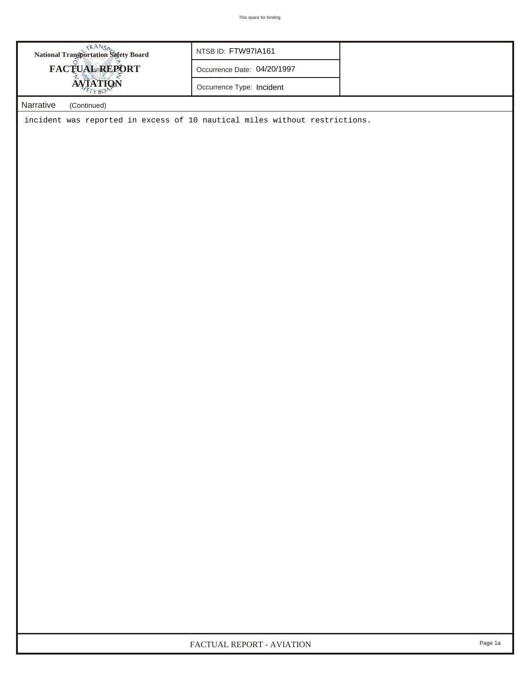| National Transportation Safety Board<br>FACTUAL REPORT                     | NTSB ID: FTW97IA161         |  |
|----------------------------------------------------------------------------|-----------------------------|--|
|                                                                            | Occurrence Date: 04/20/1997 |  |
| AVIATION                                                                   | Occurrence Type: Incident   |  |
| Narrative<br>(Continued)                                                   |                             |  |
| incident was reported in excess of 10 nautical miles without restrictions. |                             |  |
|                                                                            |                             |  |
|                                                                            |                             |  |
|                                                                            |                             |  |
|                                                                            |                             |  |
|                                                                            |                             |  |
|                                                                            |                             |  |
|                                                                            |                             |  |
|                                                                            |                             |  |
|                                                                            |                             |  |
|                                                                            |                             |  |
|                                                                            |                             |  |
|                                                                            |                             |  |
|                                                                            |                             |  |
|                                                                            |                             |  |
|                                                                            |                             |  |
|                                                                            |                             |  |
|                                                                            |                             |  |
|                                                                            |                             |  |
|                                                                            |                             |  |
|                                                                            |                             |  |
|                                                                            |                             |  |
|                                                                            |                             |  |
|                                                                            |                             |  |
|                                                                            |                             |  |
|                                                                            |                             |  |
|                                                                            |                             |  |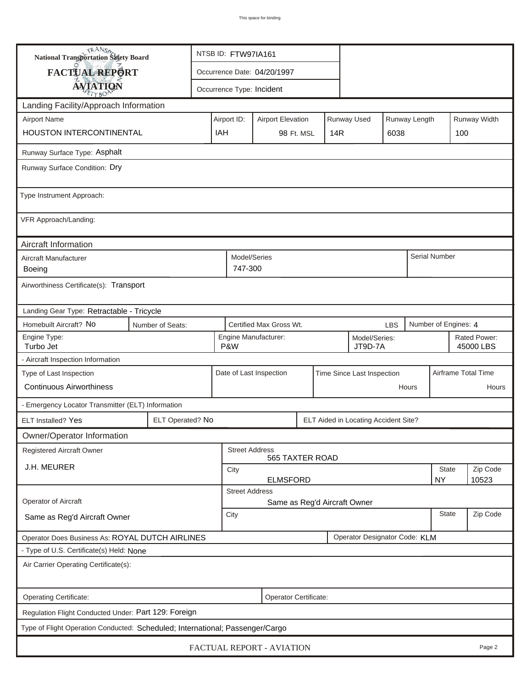| <b>National Transportation Safety Board</b>                                   | NTSB ID: FTW97IA161                                            |                                                       |                                                                         |                                                         |  |  |                                      |                     |                      |               |                           |
|-------------------------------------------------------------------------------|----------------------------------------------------------------|-------------------------------------------------------|-------------------------------------------------------------------------|---------------------------------------------------------|--|--|--------------------------------------|---------------------|----------------------|---------------|---------------------------|
| FACTUAL REPORT                                                                |                                                                | Occurrence Date: 04/20/1997                           |                                                                         |                                                         |  |  |                                      |                     |                      |               |                           |
| <b>AVIATION</b>                                                               |                                                                | Occurrence Type: Incident                             |                                                                         |                                                         |  |  |                                      |                     |                      |               |                           |
| Landing Facility/Approach Information                                         |                                                                |                                                       |                                                                         |                                                         |  |  |                                      |                     |                      |               |                           |
| <b>Airport Name</b>                                                           |                                                                |                                                       | Airport ID:<br>Runway Used<br>Runway Length<br><b>Airport Elevation</b> |                                                         |  |  |                                      |                     |                      |               | Runway Width              |
| HOUSTON INTERCONTINENTAL                                                      |                                                                | IAH                                                   | 98 Ft. MSL<br>14R<br>6038                                               |                                                         |  |  |                                      | 100                 |                      |               |                           |
| Runway Surface Type: Asphalt                                                  |                                                                |                                                       |                                                                         |                                                         |  |  |                                      |                     |                      |               |                           |
| Runway Surface Condition: Dry                                                 |                                                                |                                                       |                                                                         |                                                         |  |  |                                      |                     |                      |               |                           |
| Type Instrument Approach:                                                     |                                                                |                                                       |                                                                         |                                                         |  |  |                                      |                     |                      |               |                           |
| VFR Approach/Landing:                                                         |                                                                |                                                       |                                                                         |                                                         |  |  |                                      |                     |                      |               |                           |
| Aircraft Information                                                          |                                                                |                                                       |                                                                         |                                                         |  |  |                                      |                     |                      |               |                           |
| Aircraft Manufacturer<br><b>Boeing</b>                                        |                                                                |                                                       | Model/Series<br>747-300                                                 |                                                         |  |  |                                      |                     |                      | Serial Number |                           |
| Airworthiness Certificate(s): Transport                                       |                                                                |                                                       |                                                                         |                                                         |  |  |                                      |                     |                      |               |                           |
| Landing Gear Type: Retractable - Tricycle                                     |                                                                |                                                       |                                                                         |                                                         |  |  |                                      |                     |                      |               |                           |
| Homebuilt Aircraft? No<br>Number of Seats:                                    |                                                                | Certified Max Gross Wt.<br><b>LBS</b>                 |                                                                         |                                                         |  |  |                                      |                     | Number of Engines: 4 |               |                           |
| Engine Type:<br>Turbo Jet                                                     |                                                                |                                                       |                                                                         | Engine Manufacturer:<br>Model/Series:<br>P&W<br>JT9D-7A |  |  |                                      |                     |                      |               | Rated Power:<br>45000 LBS |
| - Aircraft Inspection Information                                             |                                                                |                                                       |                                                                         |                                                         |  |  |                                      |                     |                      |               |                           |
| Type of Last Inspection                                                       |                                                                | Date of Last Inspection<br>Time Since Last Inspection |                                                                         |                                                         |  |  |                                      | Airframe Total Time |                      |               |                           |
| <b>Continuous Airworthiness</b>                                               |                                                                |                                                       | Hours                                                                   |                                                         |  |  |                                      |                     | Hours                |               |                           |
| - Emergency Locator Transmitter (ELT) Information                             |                                                                |                                                       |                                                                         |                                                         |  |  |                                      |                     |                      |               |                           |
| <b>ELT Installed? Yes</b>                                                     | ELT Operated? No                                               |                                                       |                                                                         |                                                         |  |  | ELT Aided in Locating Accident Site? |                     |                      |               |                           |
| Owner/Operator Information                                                    |                                                                |                                                       |                                                                         |                                                         |  |  |                                      |                     |                      |               |                           |
| Registered Aircraft Owner                                                     |                                                                |                                                       | <b>Street Address</b><br>565 TAXTER ROAD                                |                                                         |  |  |                                      |                     |                      |               |                           |
| J.H. MEURER                                                                   |                                                                |                                                       | State<br>City                                                           |                                                         |  |  |                                      |                     |                      | Zip Code      |                           |
|                                                                               | <b>ELMSFORD</b><br><b>NY</b><br>10523<br><b>Street Address</b> |                                                       |                                                                         |                                                         |  |  |                                      |                     |                      |               |                           |
| Operator of Aircraft                                                          |                                                                | Same as Reg'd Aircraft Owner                          |                                                                         |                                                         |  |  |                                      |                     |                      |               |                           |
| Same as Reg'd Aircraft Owner                                                  | <b>State</b><br>City                                           |                                                       |                                                                         |                                                         |  |  |                                      | Zip Code            |                      |               |                           |
| Operator Does Business As: ROYAL DUTCH AIRLINES                               |                                                                |                                                       |                                                                         |                                                         |  |  | Operator Designator Code: KLM        |                     |                      |               |                           |
| - Type of U.S. Certificate(s) Held: None                                      |                                                                |                                                       |                                                                         |                                                         |  |  |                                      |                     |                      |               |                           |
| Air Carrier Operating Certificate(s):                                         |                                                                |                                                       |                                                                         |                                                         |  |  |                                      |                     |                      |               |                           |
| Operating Certificate:                                                        |                                                                |                                                       |                                                                         | Operator Certificate:                                   |  |  |                                      |                     |                      |               |                           |
| Regulation Flight Conducted Under: Part 129: Foreign                          |                                                                |                                                       |                                                                         |                                                         |  |  |                                      |                     |                      |               |                           |
| Type of Flight Operation Conducted: Scheduled; International; Passenger/Cargo |                                                                |                                                       |                                                                         |                                                         |  |  |                                      |                     |                      |               |                           |
| FACTUAL REPORT - AVIATION<br>Page 2                                           |                                                                |                                                       |                                                                         |                                                         |  |  |                                      |                     |                      |               |                           |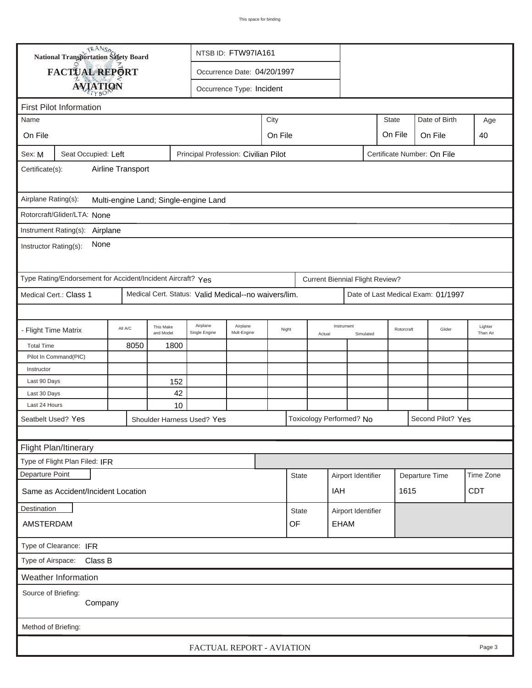|                                                                                                       | <b>National Transportation Safety Board</b>   |                   |                        |                                                               | NTSB ID: FTW97IA161 |      |              |        |                          |                    |                             |                |                                    |                     |
|-------------------------------------------------------------------------------------------------------|-----------------------------------------------|-------------------|------------------------|---------------------------------------------------------------|---------------------|------|--------------|--------|--------------------------|--------------------|-----------------------------|----------------|------------------------------------|---------------------|
|                                                                                                       | FACTUAL REPORT<br>Occurrence Date: 04/20/1997 |                   |                        |                                                               |                     |      |              |        |                          |                    |                             |                |                                    |                     |
|                                                                                                       | <b>AVIATION</b><br>Occurrence Type: Incident  |                   |                        |                                                               |                     |      |              |        |                          |                    |                             |                |                                    |                     |
|                                                                                                       |                                               |                   |                        |                                                               |                     |      |              |        |                          |                    |                             |                |                                    |                     |
| <b>First Pilot Information</b>                                                                        |                                               |                   |                        |                                                               |                     |      |              |        |                          |                    |                             |                |                                    |                     |
| Name                                                                                                  |                                               |                   |                        |                                                               |                     | City |              |        |                          |                    | <b>State</b>                |                | Date of Birth                      | Age                 |
| On File                                                                                               |                                               |                   | On File                |                                                               |                     |      |              |        |                          |                    | On File                     |                | On File                            | 40                  |
| Sex: M                                                                                                | Seat Occupied: Left                           |                   |                        | Principal Profession: Civilian Pilot                          |                     |      |              |        |                          |                    | Certificate Number: On File |                |                                    |                     |
| Certificate(s):                                                                                       |                                               | Airline Transport |                        |                                                               |                     |      |              |        |                          |                    |                             |                |                                    |                     |
| Airplane Rating(s):                                                                                   |                                               |                   |                        | Multi-engine Land; Single-engine Land                         |                     |      |              |        |                          |                    |                             |                |                                    |                     |
|                                                                                                       | Rotorcraft/Glider/LTA: None                   |                   |                        |                                                               |                     |      |              |        |                          |                    |                             |                |                                    |                     |
| Instrument Rating(s): Airplane                                                                        |                                               |                   |                        |                                                               |                     |      |              |        |                          |                    |                             |                |                                    |                     |
| Instructor Rating(s):                                                                                 | None                                          |                   |                        |                                                               |                     |      |              |        |                          |                    |                             |                |                                    |                     |
| Type Rating/Endorsement for Accident/Incident Aircraft? Yes<br><b>Current Biennial Flight Review?</b> |                                               |                   |                        |                                                               |                     |      |              |        |                          |                    |                             |                |                                    |                     |
| Medical Cert.: Class 1<br>Medical Cert. Status: Valid Medical--no waivers/lim.                        |                                               |                   |                        |                                                               |                     |      |              |        |                          |                    |                             |                | Date of Last Medical Exam: 01/1997 |                     |
|                                                                                                       |                                               |                   |                        |                                                               |                     |      |              |        |                          |                    |                             |                |                                    |                     |
| - Flight Time Matrix                                                                                  |                                               | All A/C           | This Make<br>and Model | Airplane<br>Airplane<br>Night<br>Mult-Engine<br>Single Engine |                     |      |              | Actual | Instrument               | Simulated          |                             |                | Glider                             | Lighter<br>Than Air |
| <b>Total Time</b>                                                                                     |                                               | 8050              | 1800                   |                                                               |                     |      |              |        |                          |                    |                             |                |                                    |                     |
|                                                                                                       | Pilot In Command(PIC)                         |                   |                        |                                                               |                     |      |              |        |                          |                    |                             |                |                                    |                     |
| Instructor                                                                                            |                                               |                   |                        |                                                               |                     |      |              |        |                          |                    |                             |                |                                    |                     |
| Last 90 Days                                                                                          |                                               |                   | 152                    |                                                               |                     |      |              |        |                          |                    |                             |                |                                    |                     |
| Last 30 Days                                                                                          |                                               |                   | 42                     |                                                               |                     |      |              |        |                          |                    |                             |                |                                    |                     |
| Last 24 Hours                                                                                         |                                               |                   | 10                     |                                                               |                     |      |              |        |                          |                    |                             |                |                                    |                     |
| Seatbelt Used? Yes<br>Shoulder Harness Used? Yes                                                      |                                               |                   |                        |                                                               |                     |      |              |        | Toxicology Performed? No |                    |                             |                | Second Pilot? Yes                  |                     |
|                                                                                                       |                                               |                   |                        |                                                               |                     |      |              |        |                          |                    |                             |                |                                    |                     |
|                                                                                                       | Flight Plan/Itinerary                         |                   |                        |                                                               |                     |      |              |        |                          |                    |                             |                |                                    |                     |
|                                                                                                       | Type of Flight Plan Filed: IFR                |                   |                        |                                                               |                     |      |              |        |                          |                    |                             |                |                                    |                     |
| Departure Point                                                                                       |                                               |                   |                        |                                                               |                     |      | <b>State</b> |        |                          | Airport Identifier |                             | Departure Time |                                    | Time Zone           |
| Same as Accident/Incident Location                                                                    |                                               |                   |                        |                                                               |                     |      |              |        | IAH                      |                    |                             | 1615           |                                    | <b>CDT</b>          |
| Destination                                                                                           |                                               |                   |                        |                                                               |                     |      | <b>State</b> |        |                          | Airport Identifier |                             |                |                                    |                     |
| AMSTERDAM                                                                                             |                                               |                   |                        |                                                               |                     |      | OF           |        | EHAM                     |                    |                             |                |                                    |                     |
| Type of Clearance: IFR                                                                                |                                               |                   |                        |                                                               |                     |      |              |        |                          |                    |                             |                |                                    |                     |
|                                                                                                       | Type of Airspace: Class B                     |                   |                        |                                                               |                     |      |              |        |                          |                    |                             |                |                                    |                     |
|                                                                                                       | Weather Information                           |                   |                        |                                                               |                     |      |              |        |                          |                    |                             |                |                                    |                     |
| Source of Briefing:                                                                                   |                                               |                   |                        |                                                               |                     |      |              |        |                          |                    |                             |                |                                    |                     |
|                                                                                                       | Company                                       |                   |                        |                                                               |                     |      |              |        |                          |                    |                             |                |                                    |                     |
|                                                                                                       |                                               |                   |                        |                                                               |                     |      |              |        |                          |                    |                             |                |                                    |                     |
| Method of Briefing:                                                                                   |                                               |                   |                        |                                                               |                     |      |              |        |                          |                    |                             |                |                                    |                     |
|                                                                                                       |                                               |                   |                        | FACTUAL REPORT - AVIATION                                     |                     |      |              |        |                          |                    |                             |                |                                    | Page 3              |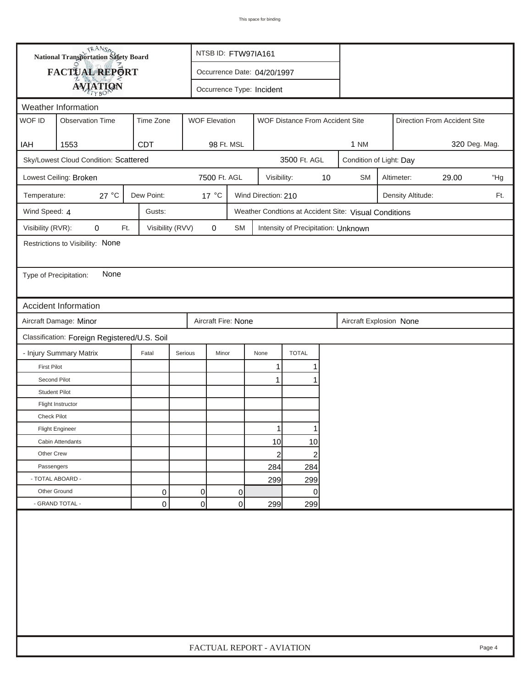| FACTUAL REPORT<br>Occurrence Date: 04/20/1997<br><b>AVIATION</b><br>Occurrence Type: Incident<br>Weather Information<br>WOF ID<br><b>Observation Time</b><br>Time Zone<br><b>WOF Elevation</b><br>WOF Distance From Accident Site<br>Direction From Accident Site<br>1553<br><b>CDT</b><br>98 Ft. MSL<br>1 NM<br>IAH<br>Sky/Lowest Cloud Condition: Scattered<br>3500 Ft. AGL<br>Condition of Light: Day<br>7500 Ft. AGL<br>Lowest Ceiling: Broken<br>10<br><b>SM</b><br>Altimeter:<br>29.00<br>Visibility:<br>27 °C<br>Dew Point:<br>$17^{\circ}$ C<br>Wind Direction: 210<br>Temperature:<br>Density Altitude:<br>Wind Speed: 4<br>Gusts:<br>Weather Condtions at Accident Site: Visual Conditions<br>Visibility (RVR):<br>Visibility (RVV)<br>$\pmb{0}$<br>0<br>Ft.<br>SM<br>Intensity of Precipitation: Unknown<br>Restrictions to Visibility: None<br>None<br>Type of Precipitation:<br><b>Accident Information</b><br>Aircraft Damage: Minor<br>Aircraft Fire: None<br>Aircraft Explosion None<br>Classification: Foreign Registered/U.S. Soil<br><b>TOTAL</b><br>- Injury Summary Matrix<br>Fatal<br>Serious<br>Minor<br>None<br><b>First Pilot</b><br>1<br>Second Pilot<br>1<br><b>Student Pilot</b><br>Flight Instructor<br><b>Check Pilot</b><br><b>Flight Engineer</b><br>Cabin Attendants<br>10 <sup>1</sup><br>10 |  | <b>National Transportation Safety Board</b> |  |  | NTSB ID: FTW97IA161       |  |  |  |  |  |     |  |        |
|--------------------------------------------------------------------------------------------------------------------------------------------------------------------------------------------------------------------------------------------------------------------------------------------------------------------------------------------------------------------------------------------------------------------------------------------------------------------------------------------------------------------------------------------------------------------------------------------------------------------------------------------------------------------------------------------------------------------------------------------------------------------------------------------------------------------------------------------------------------------------------------------------------------------------------------------------------------------------------------------------------------------------------------------------------------------------------------------------------------------------------------------------------------------------------------------------------------------------------------------------------------------------------------------------------------------------------|--|---------------------------------------------|--|--|---------------------------|--|--|--|--|--|-----|--|--------|
|                                                                                                                                                                                                                                                                                                                                                                                                                                                                                                                                                                                                                                                                                                                                                                                                                                                                                                                                                                                                                                                                                                                                                                                                                                                                                                                                |  |                                             |  |  |                           |  |  |  |  |  |     |  |        |
|                                                                                                                                                                                                                                                                                                                                                                                                                                                                                                                                                                                                                                                                                                                                                                                                                                                                                                                                                                                                                                                                                                                                                                                                                                                                                                                                |  |                                             |  |  |                           |  |  |  |  |  |     |  |        |
|                                                                                                                                                                                                                                                                                                                                                                                                                                                                                                                                                                                                                                                                                                                                                                                                                                                                                                                                                                                                                                                                                                                                                                                                                                                                                                                                |  |                                             |  |  |                           |  |  |  |  |  |     |  |        |
|                                                                                                                                                                                                                                                                                                                                                                                                                                                                                                                                                                                                                                                                                                                                                                                                                                                                                                                                                                                                                                                                                                                                                                                                                                                                                                                                |  |                                             |  |  |                           |  |  |  |  |  |     |  |        |
|                                                                                                                                                                                                                                                                                                                                                                                                                                                                                                                                                                                                                                                                                                                                                                                                                                                                                                                                                                                                                                                                                                                                                                                                                                                                                                                                |  |                                             |  |  |                           |  |  |  |  |  |     |  |        |
|                                                                                                                                                                                                                                                                                                                                                                                                                                                                                                                                                                                                                                                                                                                                                                                                                                                                                                                                                                                                                                                                                                                                                                                                                                                                                                                                |  | 320 Deg. Mag.                               |  |  |                           |  |  |  |  |  |     |  |        |
|                                                                                                                                                                                                                                                                                                                                                                                                                                                                                                                                                                                                                                                                                                                                                                                                                                                                                                                                                                                                                                                                                                                                                                                                                                                                                                                                |  |                                             |  |  |                           |  |  |  |  |  |     |  |        |
|                                                                                                                                                                                                                                                                                                                                                                                                                                                                                                                                                                                                                                                                                                                                                                                                                                                                                                                                                                                                                                                                                                                                                                                                                                                                                                                                |  |                                             |  |  |                           |  |  |  |  |  | "Hg |  |        |
|                                                                                                                                                                                                                                                                                                                                                                                                                                                                                                                                                                                                                                                                                                                                                                                                                                                                                                                                                                                                                                                                                                                                                                                                                                                                                                                                |  |                                             |  |  |                           |  |  |  |  |  | Ft. |  |        |
|                                                                                                                                                                                                                                                                                                                                                                                                                                                                                                                                                                                                                                                                                                                                                                                                                                                                                                                                                                                                                                                                                                                                                                                                                                                                                                                                |  |                                             |  |  |                           |  |  |  |  |  |     |  |        |
|                                                                                                                                                                                                                                                                                                                                                                                                                                                                                                                                                                                                                                                                                                                                                                                                                                                                                                                                                                                                                                                                                                                                                                                                                                                                                                                                |  |                                             |  |  |                           |  |  |  |  |  |     |  |        |
|                                                                                                                                                                                                                                                                                                                                                                                                                                                                                                                                                                                                                                                                                                                                                                                                                                                                                                                                                                                                                                                                                                                                                                                                                                                                                                                                |  |                                             |  |  |                           |  |  |  |  |  |     |  |        |
|                                                                                                                                                                                                                                                                                                                                                                                                                                                                                                                                                                                                                                                                                                                                                                                                                                                                                                                                                                                                                                                                                                                                                                                                                                                                                                                                |  |                                             |  |  |                           |  |  |  |  |  |     |  |        |
|                                                                                                                                                                                                                                                                                                                                                                                                                                                                                                                                                                                                                                                                                                                                                                                                                                                                                                                                                                                                                                                                                                                                                                                                                                                                                                                                |  |                                             |  |  |                           |  |  |  |  |  |     |  |        |
|                                                                                                                                                                                                                                                                                                                                                                                                                                                                                                                                                                                                                                                                                                                                                                                                                                                                                                                                                                                                                                                                                                                                                                                                                                                                                                                                |  |                                             |  |  |                           |  |  |  |  |  |     |  |        |
|                                                                                                                                                                                                                                                                                                                                                                                                                                                                                                                                                                                                                                                                                                                                                                                                                                                                                                                                                                                                                                                                                                                                                                                                                                                                                                                                |  |                                             |  |  |                           |  |  |  |  |  |     |  |        |
|                                                                                                                                                                                                                                                                                                                                                                                                                                                                                                                                                                                                                                                                                                                                                                                                                                                                                                                                                                                                                                                                                                                                                                                                                                                                                                                                |  |                                             |  |  |                           |  |  |  |  |  |     |  |        |
|                                                                                                                                                                                                                                                                                                                                                                                                                                                                                                                                                                                                                                                                                                                                                                                                                                                                                                                                                                                                                                                                                                                                                                                                                                                                                                                                |  |                                             |  |  |                           |  |  |  |  |  |     |  |        |
|                                                                                                                                                                                                                                                                                                                                                                                                                                                                                                                                                                                                                                                                                                                                                                                                                                                                                                                                                                                                                                                                                                                                                                                                                                                                                                                                |  |                                             |  |  |                           |  |  |  |  |  |     |  |        |
|                                                                                                                                                                                                                                                                                                                                                                                                                                                                                                                                                                                                                                                                                                                                                                                                                                                                                                                                                                                                                                                                                                                                                                                                                                                                                                                                |  |                                             |  |  |                           |  |  |  |  |  |     |  |        |
|                                                                                                                                                                                                                                                                                                                                                                                                                                                                                                                                                                                                                                                                                                                                                                                                                                                                                                                                                                                                                                                                                                                                                                                                                                                                                                                                |  |                                             |  |  |                           |  |  |  |  |  |     |  |        |
|                                                                                                                                                                                                                                                                                                                                                                                                                                                                                                                                                                                                                                                                                                                                                                                                                                                                                                                                                                                                                                                                                                                                                                                                                                                                                                                                |  |                                             |  |  |                           |  |  |  |  |  |     |  |        |
|                                                                                                                                                                                                                                                                                                                                                                                                                                                                                                                                                                                                                                                                                                                                                                                                                                                                                                                                                                                                                                                                                                                                                                                                                                                                                                                                |  |                                             |  |  |                           |  |  |  |  |  |     |  |        |
|                                                                                                                                                                                                                                                                                                                                                                                                                                                                                                                                                                                                                                                                                                                                                                                                                                                                                                                                                                                                                                                                                                                                                                                                                                                                                                                                |  |                                             |  |  |                           |  |  |  |  |  |     |  |        |
|                                                                                                                                                                                                                                                                                                                                                                                                                                                                                                                                                                                                                                                                                                                                                                                                                                                                                                                                                                                                                                                                                                                                                                                                                                                                                                                                |  |                                             |  |  |                           |  |  |  |  |  |     |  |        |
|                                                                                                                                                                                                                                                                                                                                                                                                                                                                                                                                                                                                                                                                                                                                                                                                                                                                                                                                                                                                                                                                                                                                                                                                                                                                                                                                |  |                                             |  |  |                           |  |  |  |  |  |     |  |        |
| Other Crew<br>$\mathbf{2}$<br>2                                                                                                                                                                                                                                                                                                                                                                                                                                                                                                                                                                                                                                                                                                                                                                                                                                                                                                                                                                                                                                                                                                                                                                                                                                                                                                |  |                                             |  |  |                           |  |  |  |  |  |     |  |        |
| Passengers<br>284<br>284                                                                                                                                                                                                                                                                                                                                                                                                                                                                                                                                                                                                                                                                                                                                                                                                                                                                                                                                                                                                                                                                                                                                                                                                                                                                                                       |  |                                             |  |  |                           |  |  |  |  |  |     |  |        |
| - TOTAL ABOARD -<br>299<br>299                                                                                                                                                                                                                                                                                                                                                                                                                                                                                                                                                                                                                                                                                                                                                                                                                                                                                                                                                                                                                                                                                                                                                                                                                                                                                                 |  |                                             |  |  |                           |  |  |  |  |  |     |  |        |
| Other Ground<br>0<br>0<br>0<br>0                                                                                                                                                                                                                                                                                                                                                                                                                                                                                                                                                                                                                                                                                                                                                                                                                                                                                                                                                                                                                                                                                                                                                                                                                                                                                               |  |                                             |  |  |                           |  |  |  |  |  |     |  |        |
| - GRAND TOTAL -<br>$\overline{0}$<br>0<br>0<br>299<br>299                                                                                                                                                                                                                                                                                                                                                                                                                                                                                                                                                                                                                                                                                                                                                                                                                                                                                                                                                                                                                                                                                                                                                                                                                                                                      |  |                                             |  |  |                           |  |  |  |  |  |     |  |        |
|                                                                                                                                                                                                                                                                                                                                                                                                                                                                                                                                                                                                                                                                                                                                                                                                                                                                                                                                                                                                                                                                                                                                                                                                                                                                                                                                |  |                                             |  |  | FACTUAL REPORT - AVIATION |  |  |  |  |  |     |  | Page 4 |